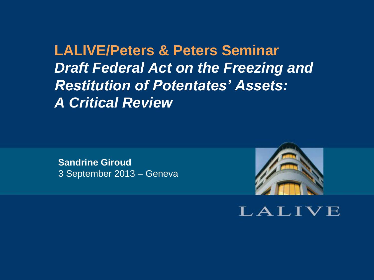**LALIVE/Peters & Peters Seminar** *Draft Federal Act on the Freezing and Restitution of Potentates' Assets: A Critical Review*

**Sandrine Giroud** 3 September 2013 – Geneva



LALIVE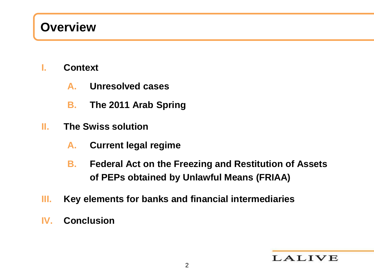### **Overview**

- **I. Context**
	- **A. Unresolved cases**
	- **B. The 2011 Arab Spring**
- **II. The Swiss solution**
	- **A. Current legal regime**
	- **B. Federal Act on the Freezing and Restitution of Assets of PEPs obtained by Unlawful Means (FRIAA)**
- **III. Key elements for banks and financial intermediaries**
- **IV. Conclusion**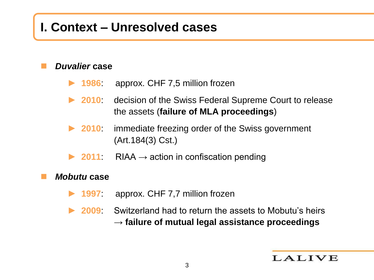#### **I. Context – Unresolved cases**

#### *Duvalier* **case**

- ► **1986**: approx. CHF 7,5 million frozen
- ► **2010**: decision of the Swiss Federal Supreme Court to release the assets (**failure of MLA proceedings**)
- ► **2010**: immediate freezing order of the Swiss government (Art.184(3) Cst.)
- ► **2011**: RIAA → action in confiscation pending

#### *Mobutu* **case**

- ► **1997**: approx. CHF 7,7 million frozen
- ► **2009**: Switzerland had to return the assets to Mobutu's heirs → **failure of mutual legal assistance proceedings**

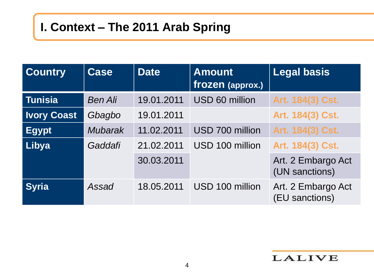### **I. Context – The 2011 Arab Spring**

| <b>Country</b>     | <b>Case</b>    | <b>Date</b> | <b>Amount</b><br>frozen (approx.) | <b>Legal basis</b>                   |
|--------------------|----------------|-------------|-----------------------------------|--------------------------------------|
| <b>Tunisia</b>     | <b>Ben Ali</b> | 19.01.2011  | USD 60 million                    | Art. 184(3) Cst.                     |
| <b>Ivory Coast</b> | Gbagbo         | 19.01.2011  |                                   | Art. 184(3) Cst.                     |
| <b>Egypt</b>       | <b>Mubarak</b> | 11.02.2011  | USD 700 million                   | Art. 184(3) Cst.                     |
| Libya              | Gaddafi        | 21.02.2011  | USD 100 million                   | Art. 184(3) Cst.                     |
|                    |                | 30.03.2011  |                                   | Art. 2 Embargo Act<br>(UN sanctions) |
| <b>Syria</b>       | Assad          | 18.05.2011  | USD 100 million                   | Art. 2 Embargo Act<br>(EU sanctions) |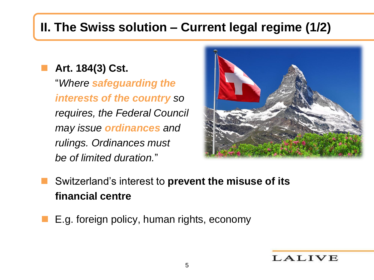## **II. The Swiss solution – Current legal regime (1/2)**

 **Art. 184(3) Cst.** "*Where safeguarding the interests of the country so requires, the Federal Council may issue ordinances and rulings. Ordinances must be of limited duration.*"



- Switzerland's interest to **prevent the misuse of its financial centre**
- E.g. foreign policy, human rights, economy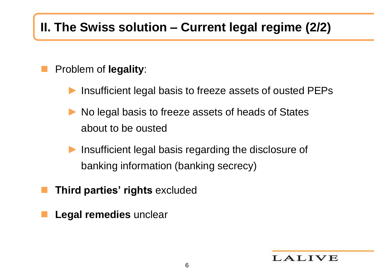# **II. The Swiss solution – Current legal regime (2/2)**

#### Problem of **legality**:

- Insufficient legal basis to freeze assets of ousted PEPs
- No legal basis to freeze assets of heads of States about to be ousted
- Insufficient legal basis regarding the disclosure of banking information (banking secrecy)
- **Third parties' rights** excluded
- **Legal remedies** unclear

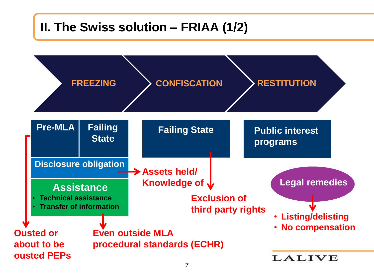### **II. The Swiss solution – FRIAA (1/2)**

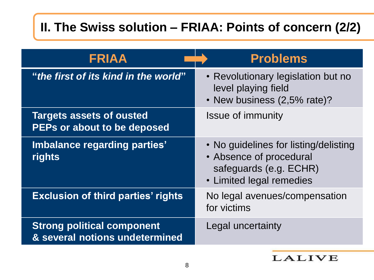### **II. The Swiss solution – FRIAA: Points of concern (2/2)**

| <b>FRIAA</b>                                                        | <b>Problems</b>                                                                                                        |
|---------------------------------------------------------------------|------------------------------------------------------------------------------------------------------------------------|
| "the first of its kind in the world"                                | • Revolutionary legislation but no<br>level playing field<br>• New business (2,5% rate)?                               |
| <b>Targets assets of ousted</b><br>PEPs or about to be deposed      | <b>Issue of immunity</b>                                                                                               |
| Imbalance regarding parties'<br>rights                              | • No guidelines for listing/delisting<br>• Absence of procedural<br>safeguards (e.g. ECHR)<br>• Limited legal remedies |
| <b>Exclusion of third parties' rights</b>                           | No legal avenues/compensation<br>for victims                                                                           |
| <b>Strong political component</b><br>& several notions undetermined | Legal uncertainty                                                                                                      |

#### **LALIVE**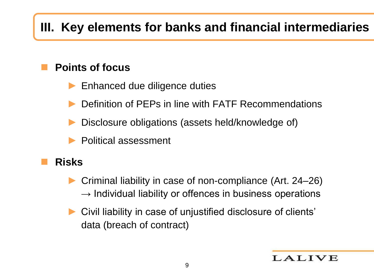# **III. Key elements for banks and financial intermediaries**

#### **Points of focus**

- ► Enhanced due diligence duties
- Definition of PEPs in line with FATF Recommendations
- Disclosure obligations (assets held/knowledge of)
- ► Political assessment

#### **Risks**

- ► Criminal liability in case of non-compliance (Art. 24–26)  $\rightarrow$  Individual liability or offences in business operations
- Civil liability in case of unjustified disclosure of clients' data (breach of contract)

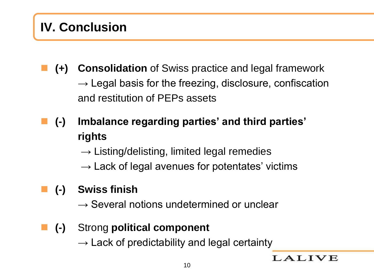## **IV. Conclusion**

- **(+) Consolidation** of Swiss practice and legal framework  $\rightarrow$  Legal basis for the freezing, disclosure, confiscation and restitution of PEPs assets
- **(-) Imbalance regarding parties' and third parties' rights**
	- $\rightarrow$  Listing/delisting, limited legal remedies
	- $\rightarrow$  Lack of legal avenues for potentates' victims

#### **(-) Swiss finish**

- $\rightarrow$  Several notions undetermined or unclear
- **(-)** Strong **political component**
	- $\rightarrow$  Lack of predictability and legal certainty